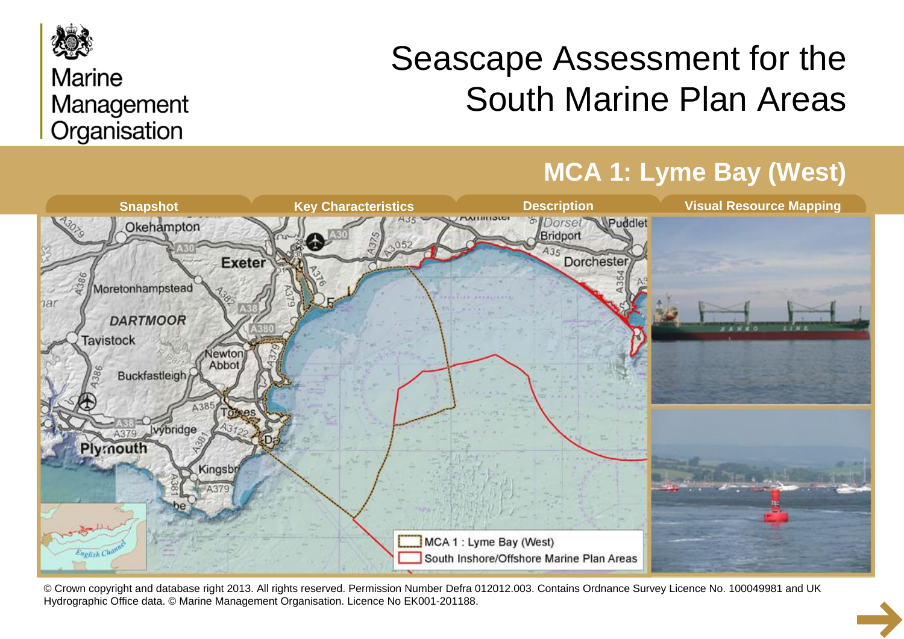

### **Marine** Management Organisation

# Seascape Assessment for the South Marine Plan Areas



© Crown copyright and database right 2013. All rights reserved. Permission Number Defra 012012.003. Contains Ordnance Survey Licence No. 100049981 and UK Hydrographic Office data. © Marine Management Organisation. Licence No EK001-201188.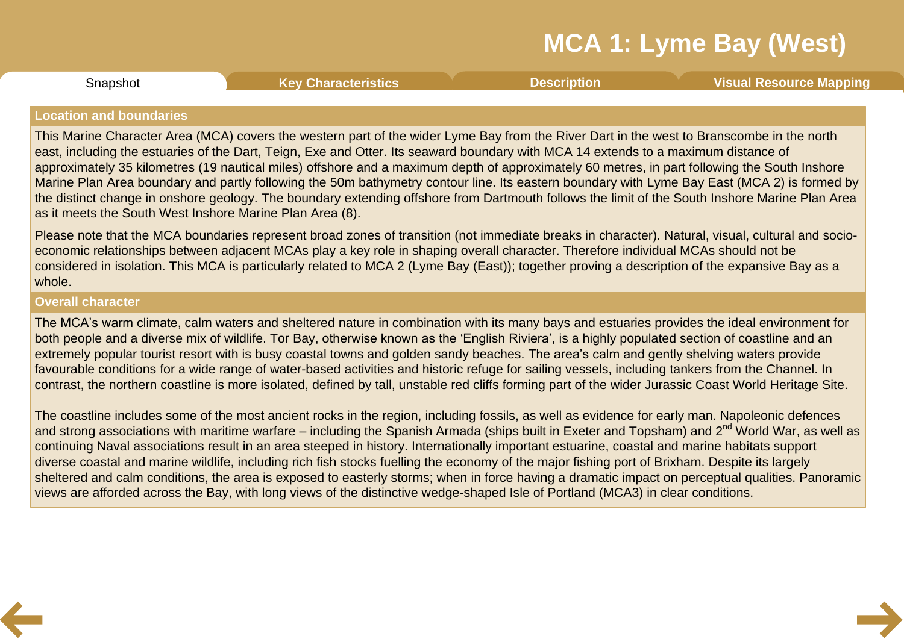Snapshot **Key [Characteristics](#page-3-0) [Description](#page-4-0) Visual [Resource](#page-8-0) Mapping**

### <span id="page-1-0"></span>**Location and boundaries**

This Marine Character Area (MCA) covers the western part of the wider Lyme Bay from the River Dart in the west to Branscombe in the north east, including the estuaries of the Dart, Teign, Exe and Otter. Its seaward boundary with MCA 14 extends to a maximum distance of approximately 35 kilometres (19 nautical miles) offshore and a maximum depth of approximately 60 metres, in part following the South Inshore Marine Plan Area boundary and partly following the 50m bathymetry contour line. Its eastern boundary with Lyme Bay East (MCA 2) is formed by the distinct change in onshore geology. The boundary extending offshore from Dartmouth follows the limit of the South Inshore Marine Plan Area as it meets the South West Inshore Marine Plan Area (8).

Please note that the MCA boundaries represent broad zones of transition (not immediate breaks in character). Natural, visual, cultural and socio economic relationships between adjacent MCAs play a key role in shaping overall character. Therefore individual MCAs should not be considered in isolation. This MCA is particularly related to MCA 2 (Lyme Bay (East)); together proving a description of the expansive Bay as a whole.

### **Overall character**

The MCA's warm climate, calm waters and sheltered nature in combination with its many bays and estuaries provides the ideal environment for both people and a diverse mix of wildlife. Tor Bay, otherwise known as the 'English Riviera', is a highly populated section of coastline and an extremely popular tourist resort with is busy coastal towns and golden sandy beaches. The area's calm and gently shelving waters provide favourable conditions for a wide range of water-based activities and historic refuge for sailing vessels, including tankers from the Channel. In contrast, the northern coastline is more isolated, defined by tall, unstable red cliffs forming part of the wider Jurassic Coast World Heritage Site.

The coastline includes some of the most ancient rocks in the region, including fossils, as well as evidence for early man. Napoleonic defences and strong associations with maritime warfare – including the Spanish Armada (ships built in Exeter and Topsham) and 2<sup>nd</sup> World War, as well as continuing Naval associations result in an area steeped in history. Internationally important estuarine, coastal and marine habitats support diverse coastal and marine wildlife, including rich fish stocks fuelling the economy of the major fishing port of Brixham. Despite its largely sheltered and calm conditions, the area is exposed to easterly storms; when in force having a dramatic impact on perceptual qualities. Panoramic views are afforded across the Bay, with long views of the distinctive wedge-shaped Isle of Portland (MCA3) in clear conditions.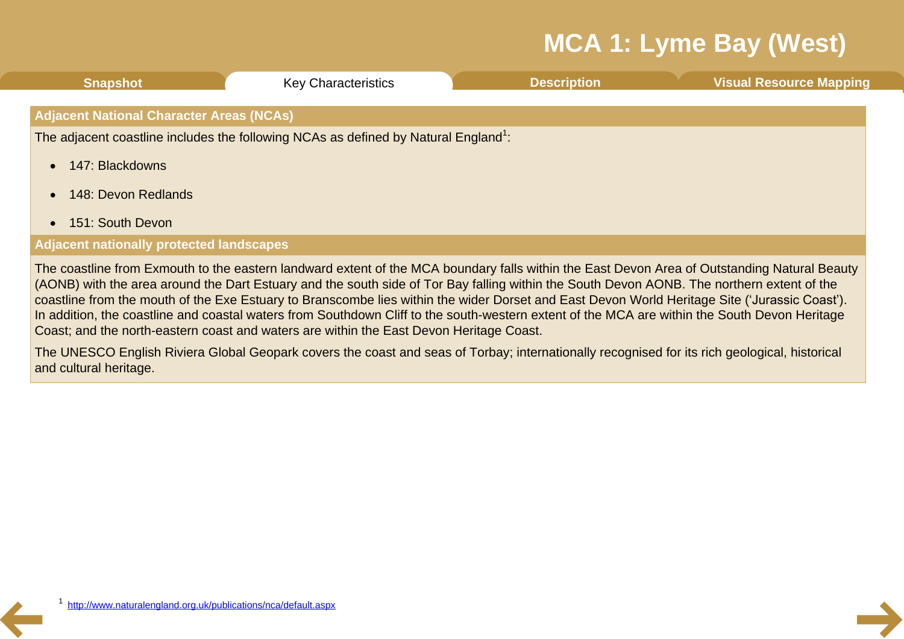| <b>Snapshot</b>                                                                                 | <b>Key Characteristics</b> | <b>Description</b> | <b>Visual Resource Mapping</b> |  |  |  |
|-------------------------------------------------------------------------------------------------|----------------------------|--------------------|--------------------------------|--|--|--|
| <b>Adjacent National Character Areas (NCAs)</b>                                                 |                            |                    |                                |  |  |  |
| The adjacent coastline includes the following NCAs as defined by Natural England <sup>1</sup> : |                            |                    |                                |  |  |  |
| 147: Blackdowns                                                                                 |                            |                    |                                |  |  |  |
| 148: Devon Redlands                                                                             |                            |                    |                                |  |  |  |
| • 151: South Devon                                                                              |                            |                    |                                |  |  |  |
| <b>Adjacent nationally protected landscapes</b>                                                 |                            |                    |                                |  |  |  |
|                                                                                                 |                            |                    |                                |  |  |  |

The coastline from Exmouth to the eastern landward extent of the MCA boundary falls within the East Devon Area of Outstanding Natural Beauty (AONB) with the area around the Dart Estuary and the south side of Tor Bay falling within the South Devon AONB. The northern extent of the coastline from the mouth of the Exe Estuary to Branscombe lies within the wider Dorset and East Devon World Heritage Site ('Jurassic Coast'). In addition, the coastline and coastal waters from Southdown Cliff to the south-western extent of the MCA are within the South Devon Heritage Coast; and the north-eastern coast and waters are within the East Devon Heritage Coast.

The UNESCO English Riviera Global Geopark covers the coast and seas of Torbay; internationally recognised for its rich geological, historical and cultural heritage.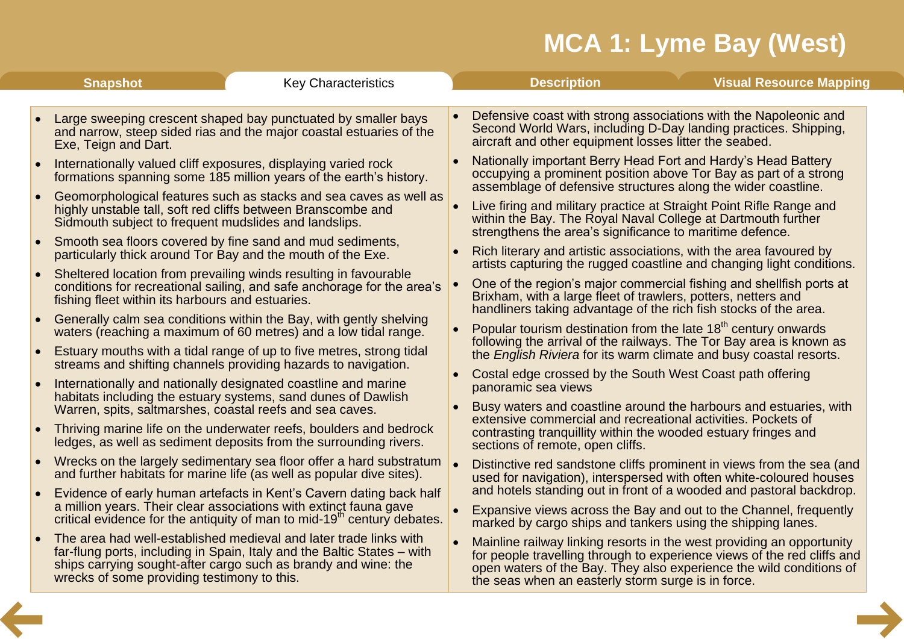<span id="page-3-0"></span>

|           | <b>Snapshot</b>                                          | <b>Key Characteristics</b>                                                                                                                                                                                                      | <b>Visual Resource Mapping</b><br><b>Description</b>                                                                                                                                                                                                                          |
|-----------|----------------------------------------------------------|---------------------------------------------------------------------------------------------------------------------------------------------------------------------------------------------------------------------------------|-------------------------------------------------------------------------------------------------------------------------------------------------------------------------------------------------------------------------------------------------------------------------------|
| $\bullet$ | Exe, Teign and Dart.                                     | Large sweeping crescent shaped bay punctuated by smaller bays<br>and narrow, steep sided rias and the major coastal estuaries of the                                                                                            | Defensive coast with strong associations with the Napoleonic and<br>Second World Wars, including D-Day landing practices. Shipping,<br>aircraft and other equipment losses litter the seabed.                                                                                 |
|           |                                                          | Internationally valued cliff exposures, displaying varied rock<br>formations spanning some 185 million years of the earth's history.                                                                                            | Nationally important Berry Head Fort and Hardy's Head Battery<br>occupying a prominent position above Tor Bay as part of a strong<br>assemblage of defensive structures along the wider coastline.                                                                            |
| $\bullet$ | Sidmouth subject to frequent mudslides and landslips.    | Geomorphological features such as stacks and sea caves as well as<br>highly unstable tall, soft red cliffs between Branscombe and                                                                                               | Live firing and military practice at Straight Point Rifle Range and<br>within the Bay. The Royal Naval College at Dartmouth further<br>strengthens the area's significance to maritime defence.                                                                               |
|           |                                                          | Smooth sea floors covered by fine sand and mud sediments,<br>particularly thick around Tor Bay and the mouth of the Exe.                                                                                                        | Rich literary and artistic associations, with the area favoured by<br>artists capturing the rugged coastline and changing light conditions.                                                                                                                                   |
| $\bullet$ | fishing fleet within its harbours and estuaries.         | Sheltered location from prevailing winds resulting in favourable<br>conditions for recreational sailing, and safe anchorage for the area's                                                                                      | One of the region's major commercial fishing and shellfish ports at<br>Brixham, with a large fleet of trawlers, potters, netters and<br>handliners taking advantage of the rich fish stocks of the area.                                                                      |
|           |                                                          | Generally calm sea conditions within the Bay, with gently shelving<br>waters (reaching a maximum of 60 metres) and a low tidal range.                                                                                           | Popular tourism destination from the late $18th$ century onwards<br>following the arrival of the railways. The Tor Bay area is known as                                                                                                                                       |
|           |                                                          | Estuary mouths with a tidal range of up to five metres, strong tidal<br>streams and shifting channels providing hazards to navigation.                                                                                          | the English Riviera for its warm climate and busy coastal resorts.<br>Costal edge crossed by the South West Coast path offering                                                                                                                                               |
|           |                                                          | Internationally and nationally designated coastline and marine<br>habitats including the estuary systems, sand dunes of Dawlish                                                                                                 | panoramic sea views<br>Busy waters and coastline around the harbours and estuaries, with                                                                                                                                                                                      |
|           | Warren, spits, saltmarshes, coastal reefs and sea caves. | Thriving marine life on the underwater reefs, boulders and bedrock<br>ledges, as well as sediment deposits from the surrounding rivers.                                                                                         | extensive commercial and recreational activities. Pockets of<br>contrasting tranquillity within the wooded estuary fringes and<br>sections of remote, open cliffs.                                                                                                            |
|           |                                                          | Wrecks on the largely sedimentary sea floor offer a hard substratum<br>and further habitats for marine life (as well as popular dive sites).                                                                                    | Distinctive red sandstone cliffs prominent in views from the sea (and<br>used for navigation), interspersed with often white-coloured houses                                                                                                                                  |
|           |                                                          | Evidence of early human artefacts in Kent's Cavern dating back half<br>a million years. Their clear associations with extinct fauna gave<br>critical evidence for the antiquity of man to mid-19 <sup>th</sup> century debates. | and hotels standing out in front of a wooded and pastoral backdrop.<br>Expansive views across the Bay and out to the Channel, frequently<br>marked by cargo ships and tankers using the shipping lanes.                                                                       |
|           | wrecks of some providing testimony to this.              | The area had well-established medieval and later trade links with<br>far-flung ports, including in Spain, Italy and the Baltic States – with<br>ships carrying sought-after cargo such as brandy and wine: the                  | Mainline railway linking resorts in the west providing an opportunity<br>for people travelling through to experience views of the red cliffs and<br>open waters of the Bay. They also experience the wild conditions of<br>the seas when an easterly storm surge is in force. |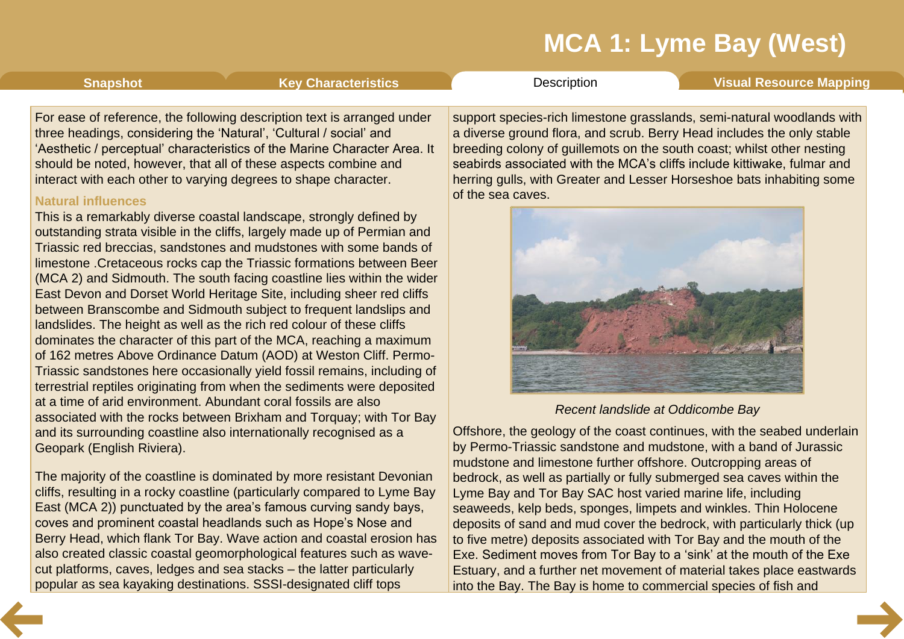<span id="page-4-0"></span>**[Snapshot](#page-1-0) Key [Characteristics](#page-3-0) [Description](#page-4-0) Visual [Resource](#page-8-0) Mapping** 

For ease of reference, the following description text is arranged under three headings, considering the 'Natural', 'Cultural / social' and 'Aesthetic / perceptual' characteristics of the Marine Character Area. It should be noted, however, that all of these aspects combine and interact with each other to varying degrees to shape character.

### **Natural influences**

This is a remarkably diverse coastal landscape, strongly defined by outstanding strata visible in the cliffs, largely made up of Permian and Triassic red breccias, sandstones and mudstones with some bands of limestone .Cretaceous rocks cap the Triassic formations between Beer (MCA 2) and Sidmouth. The south facing coastline lies within the wider East Devon and Dorset World Heritage Site, including sheer red cliffs between Branscombe and Sidmouth subject to frequent landslips and landslides. The height as well as the rich red colour of these cliffs dominates the character of this part of the MCA, reaching a maximum of 162 metres Above Ordinance Datum (AOD) at Weston Cliff. Permo- Triassic sandstones here occasionally yield fossil remains, including of terrestrial reptiles originating from when the sediments were deposited at a time of arid environment. Abundant coral fossils are also associated with the rocks between Brixham and Torquay; with Tor Bay and its surrounding coastline also internationally recognised as a Geopark (English Riviera).

The majority of the coastline is dominated by more resistant Devonian cliffs, resulting in a rocky coastline (particularly compared to Lyme Bay East (MCA 2)) punctuated by the area's famous curving sandy bays, coves and prominent coastal headlands such as Hope's Nose and Berry Head, which flank Tor Bay. Wave action and coastal erosion has also created classic coastal geomorphological features such as wave cut platforms, caves, ledges and sea stacks – the latter particularly popular as sea kayaking destinations. SSSI-designated cliff tops

support species-rich limestone grasslands, semi-natural woodlands with a diverse ground flora, and scrub. Berry Head includes the only stable breeding colony of guillemots on the south coast; whilst other nesting seabirds associated with the MCA's cliffs include kittiwake, fulmar and herring gulls, with Greater and Lesser Horseshoe bats inhabiting some of the sea caves.



### *Recent landslide at Oddicombe Bay*

Offshore, the geology of the coast continues, with the seabed underlain by Permo-Triassic sandstone and mudstone, with a band of Jurassic mudstone and limestone further offshore. Outcropping areas of bedrock, as well as partially or fully submerged sea caves within the Lyme Bay and Tor Bay SAC host varied marine life, including seaweeds, kelp beds, sponges, limpets and winkles. Thin Holocene deposits of sand and mud cover the bedrock, with particularly thick (up to five metre) deposits associated with Tor Bay and the mouth of the Exe. Sediment moves from Tor Bay to a 'sink' at the mouth of the Exe Estuary, and a further net movement of material takes place eastwards into the Bay. The Bay is home to commercial species of fish and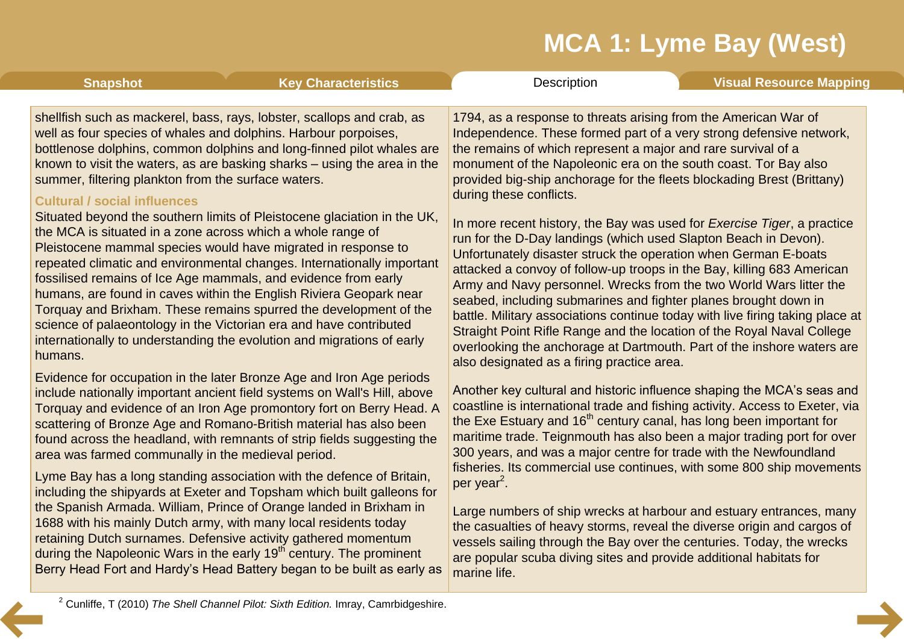| <b>Snapshot</b>                                                                                                                                                                                                                                                                                                                                                                                                                                                                                                                                                                                                                                                                                                                                                                                                                                                                                                                                                                                                                                            | <b>Key Characteristics</b>                                                                                                                                                                                                                                                                  | Description                                                                                                                                                                                                                                                                                                                                                                                                                                                                                                                                                                                                                                                                                                                                                                                                                                                                                                                                                                                                                                                                                                    | <b>Visual Resource Mapping</b> |  |
|------------------------------------------------------------------------------------------------------------------------------------------------------------------------------------------------------------------------------------------------------------------------------------------------------------------------------------------------------------------------------------------------------------------------------------------------------------------------------------------------------------------------------------------------------------------------------------------------------------------------------------------------------------------------------------------------------------------------------------------------------------------------------------------------------------------------------------------------------------------------------------------------------------------------------------------------------------------------------------------------------------------------------------------------------------|---------------------------------------------------------------------------------------------------------------------------------------------------------------------------------------------------------------------------------------------------------------------------------------------|----------------------------------------------------------------------------------------------------------------------------------------------------------------------------------------------------------------------------------------------------------------------------------------------------------------------------------------------------------------------------------------------------------------------------------------------------------------------------------------------------------------------------------------------------------------------------------------------------------------------------------------------------------------------------------------------------------------------------------------------------------------------------------------------------------------------------------------------------------------------------------------------------------------------------------------------------------------------------------------------------------------------------------------------------------------------------------------------------------------|--------------------------------|--|
| shellfish such as mackerel, bass, rays, lobster, scallops and crab, as<br>well as four species of whales and dolphins. Harbour porpoises,<br>bottlenose dolphins, common dolphins and long-finned pilot whales are<br>known to visit the waters, as are basking sharks – using the area in the<br>summer, filtering plankton from the surface waters.<br><b>Cultural / social influences</b><br>Situated beyond the southern limits of Pleistocene glaciation in the UK,<br>the MCA is situated in a zone across which a whole range of<br>Pleistocene mammal species would have migrated in response to<br>repeated climatic and environmental changes. Internationally important<br>fossilised remains of Ice Age mammals, and evidence from early<br>humans, are found in caves within the English Riviera Geopark near<br>Torquay and Brixham. These remains spurred the development of the<br>science of palaeontology in the Victorian era and have contributed<br>internationally to understanding the evolution and migrations of early<br>humans. |                                                                                                                                                                                                                                                                                             | 1794, as a response to threats arising from the American War of<br>Independence. These formed part of a very strong defensive network,<br>the remains of which represent a major and rare survival of a<br>monument of the Napoleonic era on the south coast. Tor Bay also<br>provided big-ship anchorage for the fleets blockading Brest (Brittany)<br>during these conflicts.<br>In more recent history, the Bay was used for <i>Exercise Tiger</i> , a practice<br>run for the D-Day landings (which used Slapton Beach in Devon).<br>Unfortunately disaster struck the operation when German E-boats<br>attacked a convoy of follow-up troops in the Bay, killing 683 American<br>Army and Navy personnel. Wrecks from the two World Wars litter the<br>seabed, including submarines and fighter planes brought down in<br>battle. Military associations continue today with live firing taking place at<br>Straight Point Rifle Range and the location of the Royal Naval College<br>overlooking the anchorage at Dartmouth. Part of the inshore waters are<br>also designated as a firing practice area. |                                |  |
|                                                                                                                                                                                                                                                                                                                                                                                                                                                                                                                                                                                                                                                                                                                                                                                                                                                                                                                                                                                                                                                            |                                                                                                                                                                                                                                                                                             |                                                                                                                                                                                                                                                                                                                                                                                                                                                                                                                                                                                                                                                                                                                                                                                                                                                                                                                                                                                                                                                                                                                |                                |  |
|                                                                                                                                                                                                                                                                                                                                                                                                                                                                                                                                                                                                                                                                                                                                                                                                                                                                                                                                                                                                                                                            | the Spanish Armada. William, Prince of Orange landed in Brixham in<br>1688 with his mainly Dutch army, with many local residents today<br>retaining Dutch surnames. Defensive activity gathered momentum<br>during the Napoleonic Wars in the early 19 <sup>th</sup> century. The prominent | Large numbers of ship wrecks at harbour and estuary entrances, many<br>the casualties of heavy storms, reveal the diverse origin and cargos of<br>vessels sailing through the Bay over the centuries. Today, the wrecks<br>are popular scuba diving sites and provide additional habitats for                                                                                                                                                                                                                                                                                                                                                                                                                                                                                                                                                                                                                                                                                                                                                                                                                  |                                |  |

marine life.

<sup>2</sup> Cunliffe, T (2010) *The Shell Channel Pilot: Sixth Edition.* Imray, Camrbidgeshire.

Berry Head Fort and Hardy's Head Battery began to be built as early as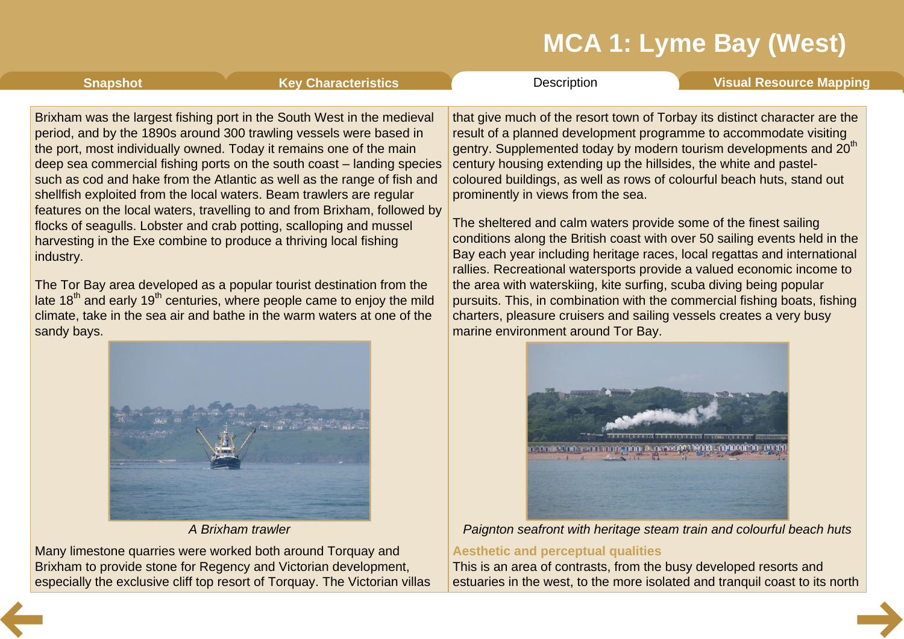**[Snapshot](#page-1-0) Key [Characteristics](#page-3-0) [Description](#page-4-0) Visual [Resource](#page-8-0) Mapping** 

Brixham was the largest fishing port in the South West in the medieval period, and by the 1890s around 300 trawling vessels were based in the port, most individually owned. Today it remains one of the main deep sea commercial fishing ports on the south coast – landing species such as cod and hake from the Atlantic as well as the range of fish and shellfish exploited from the local waters. Beam trawlers are regular features on the local waters, travelling to and from Brixham, followed by flocks of seagulls. Lobster and crab potting, scalloping and mussel harvesting in the Exe combine to produce a thriving local fishing industry.

The Tor Bay area developed as a popular tourist destination from the late  $18<sup>th</sup>$  and early  $19<sup>th</sup>$  centuries, where people came to enjoy the mild climate, take in the sea air and bathe in the warm waters at one of the sandy bays.



*A Brixham trawler*

Many limestone quarries were worked both around Torquay and Brixham to provide stone for Regency and Victorian development, especially the exclusive cliff top resort of Torquay. The Victorian villas that give much of the resort town of Torbay its distinct character are the result of a planned development programme to accommodate visiting gentry. Supplemented today by modern tourism developments and 20<sup>th</sup> century housing extending up the hillsides, the white and pastel coloured buildings, as well as rows of colourful beach huts, stand out prominently in views from the sea.

The sheltered and calm waters provide some of the finest sailing conditions along the British coast with over 50 sailing events held in the Bay each year including heritage races, local regattas and international rallies. Recreational watersports provide a valued economic income to the area with waterskiing, kite surfing, scuba diving being popular pursuits. This, in combination with the commercial fishing boats, fishing charters, pleasure cruisers and sailing vessels creates a very busy marine environment around Tor Bay.



*Paignton seafront with heritage steam train and colourful beach huts*

### **Aesthetic and perceptual qualities**

This is an area of contrasts, from the busy developed resorts and estuaries in the west, to the more isolated and tranquil coast to its north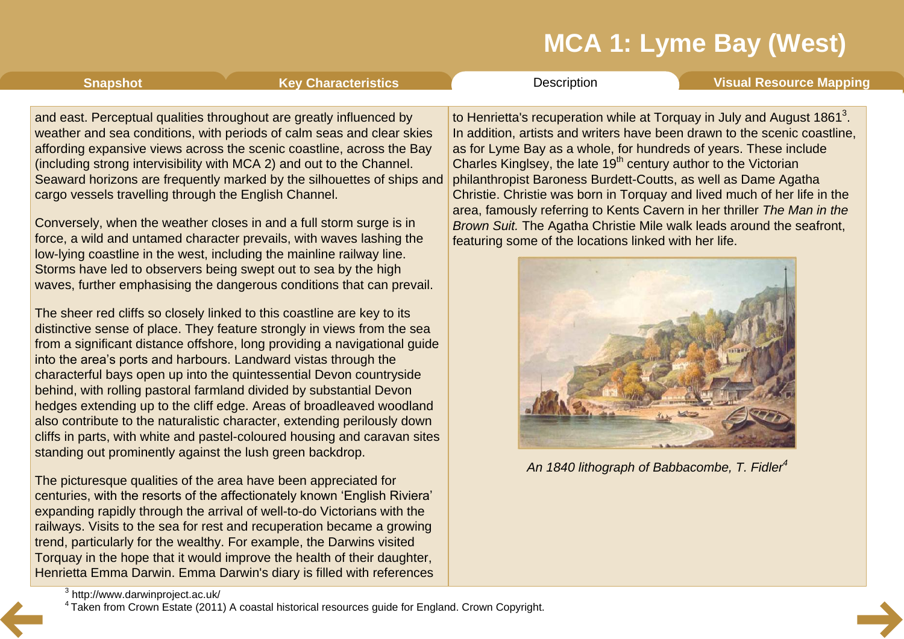<span id="page-7-0"></span>**[Snapshot](#page-1-0) Key [Characteristics](#page-3-0) [Description](#page-4-0) Visual [Resource](#page-8-0) Mapping** 

and east. Perceptual qualities throughout are greatly influenced by weather and sea conditions, with periods of calm seas and clear skies affording expansive views across the scenic coastline, across the Bay (including strong intervisibility with MCA 2) and out to the Channel. Seaward horizons are frequently marked by the silhouettes of ships and cargo vessels travelling through the English Channel.

Conversely, when the weather closes in and a full storm surge is in force, a wild and untamed character prevails, with waves lashing the low-lying coastline in the west, including the mainline railway line. Storms have led to observers being swept out to sea by the high waves, further emphasising the dangerous conditions that can prevail.

The sheer red cliffs so closely linked to this coastline are key to its distinctive sense of place. They feature strongly in views from the sea from a significant distance offshore, long providing a navigational guide into the area's ports and harbours. Landward vistas through the characterful bays open up into the quintessential Devon countryside behind, with rolling pastoral farmland divided by substantial Devon hedges extending up to the cliff edge. Areas of broadleaved woodland also contribute to the naturalistic character, extending perilously down cliffs in parts, with white and pastel-coloured housing and caravan sites standing out prominently against the lush green backdrop.

The picturesque qualities of the area have been appreciated for centuries, with the resorts of the affectionately known 'English Riviera' expanding rapidly through the arrival of well-to-do Victorians with the railways. Visits to the sea for rest and recuperation became a growing trend, particularly for the wealthy. For example, the Darwins visited Torquay in the hope that it would improve the health of their daughter, Henrietta Emma Darwin. Emma Darwin's diary is filled with references

to Henrietta's recuperation while at Torquay in July and August 1861<sup>3</sup>. In addition, artists and writers have been drawn to the scenic coastline, as for Lyme Bay as a whole, for hundreds of years. These include Charles Kinglsey, the late  $19<sup>th</sup>$  century author to the Victorian philanthropist Baroness Burdett-Coutts, as well as Dame Agatha Christie. Christie was born in Torquay and lived much of her life in the area, famously referring to Kents Cavern in her thriller *The Man in the Brown Suit.* The Agatha Christie Mile walk leads around the seafront, featuring some of the locations linked with her life.



*An 1840 lithograph of Babbacombe, T. Fidler 4*

<sup>3</sup> http://www.darwinproject.ac.uk/

<sup>4</sup> Taken from Crown Estate (2011) A coastal historical resources guide for England. Crown Copyright.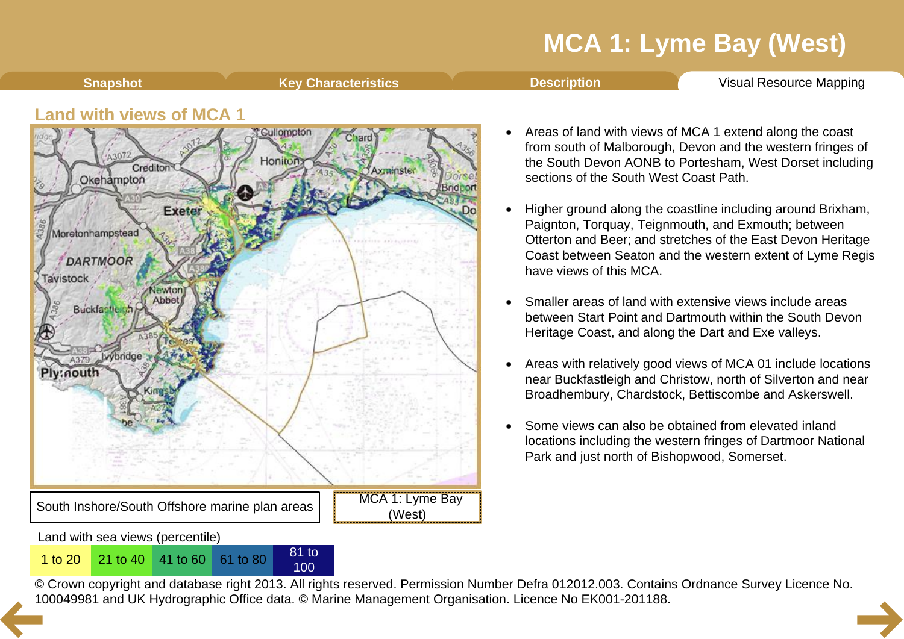<span id="page-8-0"></span>**Shapshot Key [Characteristics](#page-3-0) [Description](#page-4-0) Visual [Resource](#page-8-0) Mapping** 

### **Land with views of MCA 1**



100

- Areas of land with views of MCA 1 extend along the coast from south of Malborough, Devon and the western fringes of the South Devon AONB to Portesham, West Dorset including sections of the South West Coast Path.
- Higher ground along the coastline including around Brixham, Paignton, Torquay, Teignmouth, and Exmouth; between Otterton and Beer; and stretches of the East Devon Heritage Coast between Seaton and the western extent of Lyme Regis have views of this MCA.
- Smaller areas of land with extensive views include areas between Start Point and Dartmouth within the South Devon Heritage Coast, and along the Dart and Exe valleys.
- Areas with relatively good views of MCA 01 include locations near Buckfastleigh and Christow, north of Silverton and near Broadhembury, Chardstock, Bettiscombe and Askerswell.
- Some views can also be obtained from elevated inland locations including the western fringes of Dartmoor National Park and just north of Bishopwood, Somerset.

© Crown copyright and database right 2013. All rights reserved. Permission Number Defra 012012.003. Contains Ordnance Survey Licence No. 1 to 20<sup>21</sup> to 40<sup>41</sup> to 60<sup>61</sup> to 80<sup>81</sup> to 80<sup>81</sup> to 80<sup>81</sup> to [10](#page-7-0)0<br>© Crown copyright and database right 2013. All rights reserved. Permission Number Defra 012012.003. Contain<br>100049981 and UK Hydrographic Office data. ©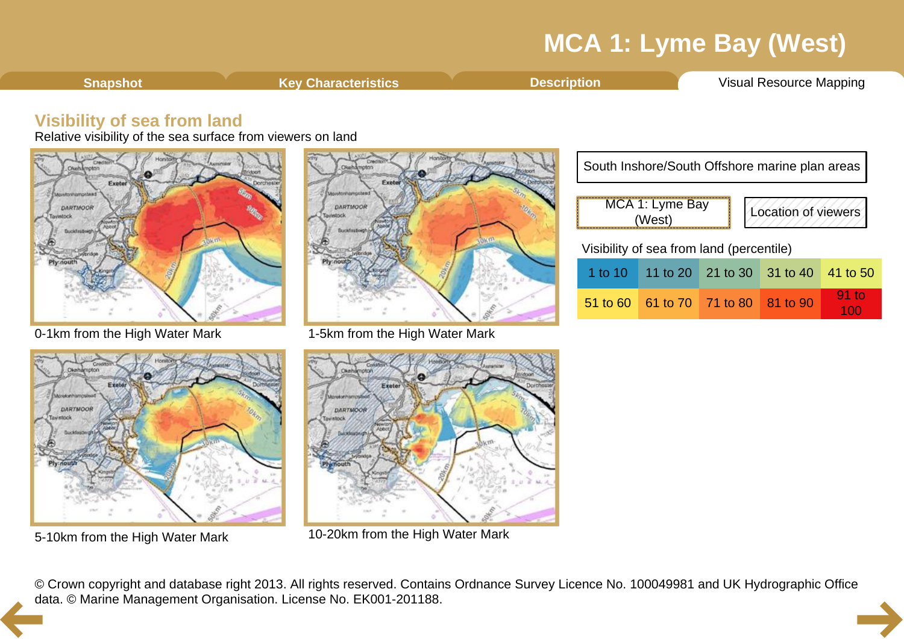<span id="page-9-0"></span>**[Snapshot](#page-1-0) Key [Characteristics](#page-3-0) [Description](#page-4-0) Visual [Resource](#page-8-0) Mapping** 

### **Visibility of sea from land**

Relative visibility of the sea surface from viewers on land







0-1km from the High Water Mark 1-5km from the High Water Mark



5-10km from the High Water Mark 10-20km from the High Water Mark

| South Inshore/South Offshore marine plan areas   |                                     |  |  |          |  |  |  |
|--------------------------------------------------|-------------------------------------|--|--|----------|--|--|--|
| MCA 1: Lyme Bay<br>Location of viewers<br>(West) |                                     |  |  |          |  |  |  |
| Visibility of sea from land (percentile)         |                                     |  |  |          |  |  |  |
|                                                  | 1 to 10 11 to 20 21 to 30 31 to 40  |  |  | 41 to 50 |  |  |  |
|                                                  | 51 to 60 61 to 70 71 to 80 81 to 90 |  |  | 91 to    |  |  |  |

© Crown copyright and database right 2013. All rights reserved. Contains Ordnance Survey Licence No. 100049981 and UK Hydrographic Office [da](#page-8-0)ta. © Marine Management Organisation. License No. EK001-201188.